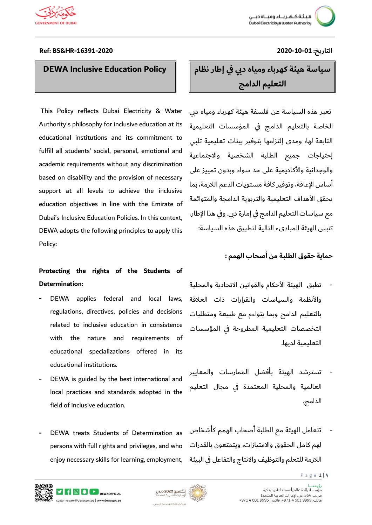

### **DEWA Inclusive Education Policy**

This Policy reflects Dubai Electricity & Water Authority's philosophy for inclusive education at its educational institutions and its commitment to fulfill all students' social, personal, emotional and academic requirements without any discrimination based on disability and the provision of necessary support at all levels to achieve the inclusive education objectives in line with the Emirate of Dubai's Inclusive Education Policies. In this context, DEWA adopts the following principles to apply this Policy:

### **Protecting the rights of the Students of Determination:**

- **-** DEWA applies federal and local laws, regulations, directives, policies and decisions related to inclusive education in consistence with the nature and requirements of educational specializations offered in its educational institutions.
- **-** DEWA is guided by the best international and local practices and standards adopted in the field of inclusive education.
- **-** DEWA treats Students of Determination as persons with full rights and privileges, and who enjoy necessary skills for learning, employment,

### **Ref: BS&HR-16391-2020 2020-10-01 :التاريخ**

# **سياسة هيئة كهرباء ومياه دبي في إطار نظام التعليم الدامج**

تعبر هذه السياسة عن فلسفة هيئة كهرباء ومياه دبي الخاصة بالتعليم الدامج في المؤسسات التعليمية التابعة لها، ومدى إلتزامها بتوفير بيئات تعليمية تلبي إحتياجات جميع الطلبة الشخصية واالجتماعية والوجدانية والأكاديمية على حد سواء وبدون تمييز على أساس اإلعاقة، وتوفير كافة مستويات الدعم الالزمة، بما يحقق الأهداف التعليمية والتربوية الدامجة والمتوائمة مع سياسات التعليم الدامج في إمارة دبي. وفي هذا اإلطار، تتبنى الهيئة المبادىء التالية لتطبيق هذه السياسة:

### **حماية حقوق الطلبة من أصحاب الهمم :**

- تطبق الهيئة الأحكام والقوانين الاتحادية والمحلية والأنظمة والسياسات والقرارات ذات العلاقة بالتعليم الدامج وبما يتواءم مع طبيعة ومتطلبات التخصصات التعليمية المطروحة في المؤسسات التعليمية لديها.
- تسترشد الهيئة بأفضل الممارسات والمعايير العالمية والمحلية المعتمدة في مجال التعليم الدامج.
- تتعامل الهيئة مع الطلبة أصحاب الهمم كأشخاص لهم كامل الحقوق واالمتيازات، ويتمتعون بالقدرات الالزمة للتعلم والتوظيف واالنتاج والتفاعل في البيئة





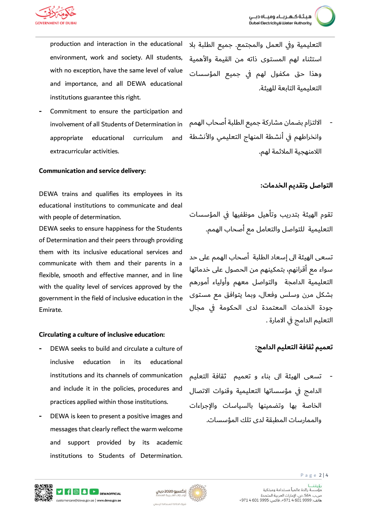production and interaction in the educational environment, work and society. All students, with no exception, have the same level of value and importance, and all DEWA educational institutions guarantee this right.

**-** Commitment to ensure the participation and involvement of all Students of Determination in appropriate educational curriculum and extracurricular activities.

#### **Communication and service delivery:**

DEWA trains and qualifies its employees in its educational institutions to communicate and deal with people of determination.

DEWA seeks to ensure happiness for the Students of Determination and their peers through providing them with its inclusive educational services and communicate with them and their parents in a flexible, smooth and effective manner, and in line with the quality level of services approved by the government in the field of inclusive education in the Emirate.

#### **Circulating a culture of inclusive education:**

- **-** DEWA seeks to build and circulate a culture of inclusive education in its educational institutions and its channels of communication and include it in the policies, procedures and practices applied within those institutions.
- **-** DEWA is keen to present a positive images and messages that clearly reflect the warm welcome and support provided by its academic institutions to Students of Determination.

التعليمية وفي العمل والمجتمع. جميع الطلبة بال استثناء لهم المستوى ذاته من القيمة واألهمية وهذا حق مكفول لهم في جميع المؤسسات التعليمية التابعة للهيئة.

- االلتزام بضمان مشاركة جميع الطلبة أصحاب الهمم وانخراطهم في أنشطة المنهاج التعليمي والأنشطة اللامنهجية الملائمة لهم.

#### **التواصل وتقديم الخدمات:**

تقوم الهيئة بتدريب وتأهيل موظفيها في المؤسسات التعليمية للتواصل والتعامل مع أصحاب الهمم.

تسعى الهيئة الى إسعاد الطلبة أصحاب الهمم على حد سواء مع أقرانهم، بتمكينهم من الحصول على خدماتها التعليمية الدامجة والتواصل معهم وأولياء أمورهم بشكل مرن وسلس وفعال، وبما يتوافق مع مستوى جودة الخدمات المعتمدة لدى الحكومة في مجال التعليم الدامج في االمارة .

### **تعميم ثقافة التعليم الدامج:**

- تسعى الهيئة الى بناء و تعميم ثقافة التعليم الدامج في مؤسساتها التعليمية وقنوات االتصال الخاصة بها وتضمينها بالسياسات واإلجراءات والممارسات المطبقة لدى تلك المؤسسات.



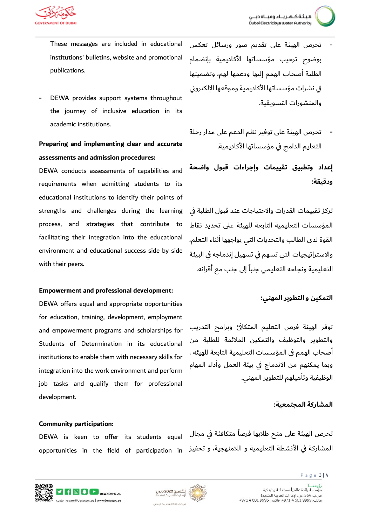- تحرص الهيئة على تقديم صور ورسائل تعكس بوضوح ترحيب مؤسساتها األكاديمية بإنضمام الطلبة أصحاب الهمم إليها ودعمها لهم، وتضمينها في نشرات مؤسساتها األكاديمية وموقعها اإللكتروني والمنشورات التسويقية.
	- **-** تحرص الهيئة على توفير نظم الدعم على مدار رحلة التعليم الدامج في مؤسساتها األكاديمية.

**إعداد وتطبيق تقييمات وإجراءات قبول واضحة ودقيقة:** 

تركز تقييمات القدرات واالحتياجات عند قبول الطلبة في المؤسسات التعليمية التابعة للهيئة على تحديد نقاط القوة لدى الطالب والتحديات التي يواجهها أثناء التعلم، واالستراتيجيات التي تسهم في تسهيل إندماجه في البيئة التعليمية ونجاحه التعليمي جنباً إلى جنب مع أقرانه.

### **التمكين و التطوير المهني:**

توفر الهيئة فرص التعليم المتكافئ وبرامج التدريب والتطوير والتوظيف والتمكين المالئمة للطلبة من أصحاب الهمم في المؤسسات التعليمية التابعة للهيئة ، وبما يمكنهم من االندماج في بيئة العمل وأداء المهام الوظيفية وتأهيلهم للتطوير المهني.

#### **المشاركة المجتمعية:**

تحرص الهيئة على منح طالبها فرصاً متكافئة في مجال



DEWA is keen to offer its students equal opportunities in the field of participation in تحفيز مما مع مان موم مون بالأنشطة التعليمية و اللامنهجية، و تح

- These messages are included in educational institutions' bulletins, website and promotional publications.
- **-** DEWA provides support systems throughout the journey of inclusive education in its academic institutions.

## **Preparing and implementing clear and accurate assessments and admission procedures:**

DEWA conducts assessments of capabilities and requirements when admitting students to its educational institutions to identify their points of strengths and challenges during the learning process, and strategies that contribute to facilitating their integration into the educational environment and educational success side by side with their peers.

#### **Empowerment and professional development:**

DEWA offers equal and appropriate opportunities for education, training, development, employment and empowerment programs and scholarships for Students of Determination in its educational institutions to enable them with necessary skills for integration into the work environment and perform job tasks and qualify them for professional development.